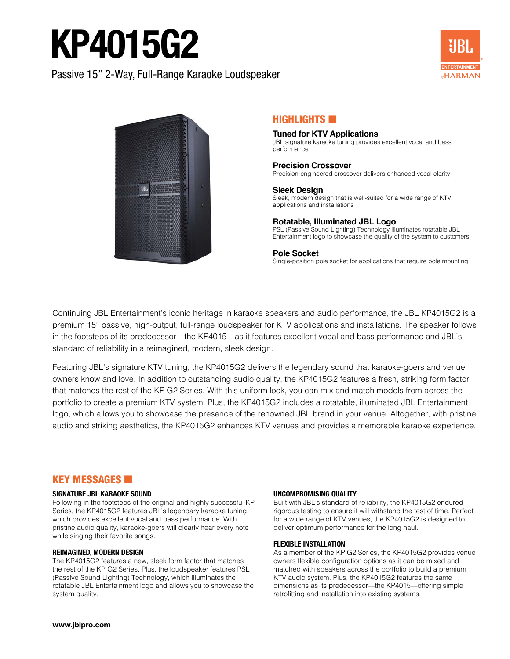# KP4015G2

Passive 15" 2-Way, Full-Range Karaoke Loudspeaker





### HIGHLIGHTS **EXI**

#### **Tuned for KTV Applications** JBL signature karaoke tuning provides excellent vocal and bass performance

#### **Precision Crossover**

Precision-engineered crossover delivers enhanced vocal clarity

**Sleek Design** Sleek, modern design that is well-suited for a wide range of KTV applications and installations

### **Rotatable, Illuminated JBL Logo**

PSL (Passive Sound Lighting) Technology illuminates rotatable JBL Entertainment logo to showcase the quality of the system to customers

#### **Pole Socket**

Single-position pole socket for applications that require pole mounting

Continuing JBL Entertainment's iconic heritage in karaoke speakers and audio performance, the JBL KP4015G2 is a premium 15" passive, high-output, full-range loudspeaker for KTV applications and installations. The speaker follows in the footsteps of its predecessor—the KP4015—as it features excellent vocal and bass performance and JBL's standard of reliability in a reimagined, modern, sleek design.

Featuring JBL's signature KTV tuning, the KP4015G2 delivers the legendary sound that karaoke-goers and venue owners know and love. In addition to outstanding audio quality, the KP4015G2 features a fresh, striking form factor that matches the rest of the KP G2 Series. With this uniform look, you can mix and match models from across the portfolio to create a premium KTV system. Plus, the KP4015G2 includes a rotatable, illuminated JBL Entertainment logo, which allows you to showcase the presence of the renowned JBL brand in your venue. Altogether, with pristine audio and striking aesthetics, the KP4015G2 enhances KTV venues and provides a memorable karaoke experience.

## **KEY MESSAGES <b>E**

#### **SIGNATURE JBL KARAOKE SOUND**

Following in the footsteps of the original and highly successful KP Series, the KP4015G2 features JBL's legendary karaoke tuning, which provides excellent vocal and bass performance. With pristine audio quality, karaoke-goers will clearly hear every note while singing their favorite songs.

#### **REIMAGINED, MODERN DESIGN**

The KP4015G2 features a new, sleek form factor that matches the rest of the KP G2 Series. Plus, the loudspeaker features PSL (Passive Sound Lighting) Technology, which illuminates the rotatable JBL Entertainment logo and allows you to showcase the system quality.

#### **UNCOMPROMISING QUALITY**

Built with JBL's standard of reliability, the KP4015G2 endured rigorous testing to ensure it will withstand the test of time. Perfect for a wide range of KTV venues, the KP4015G2 is designed to deliver optimum performance for the long haul.

#### **FLEXIBLE INSTALLATION**

As a member of the KP G2 Series, the KP4015G2 provides venue owners flexible configuration options as it can be mixed and matched with speakers across the portfolio to build a premium KTV audio system. Plus, the KP4015G2 features the same dimensions as its predecessor—the KP4015—offering simple retrofitting and installation into existing systems.